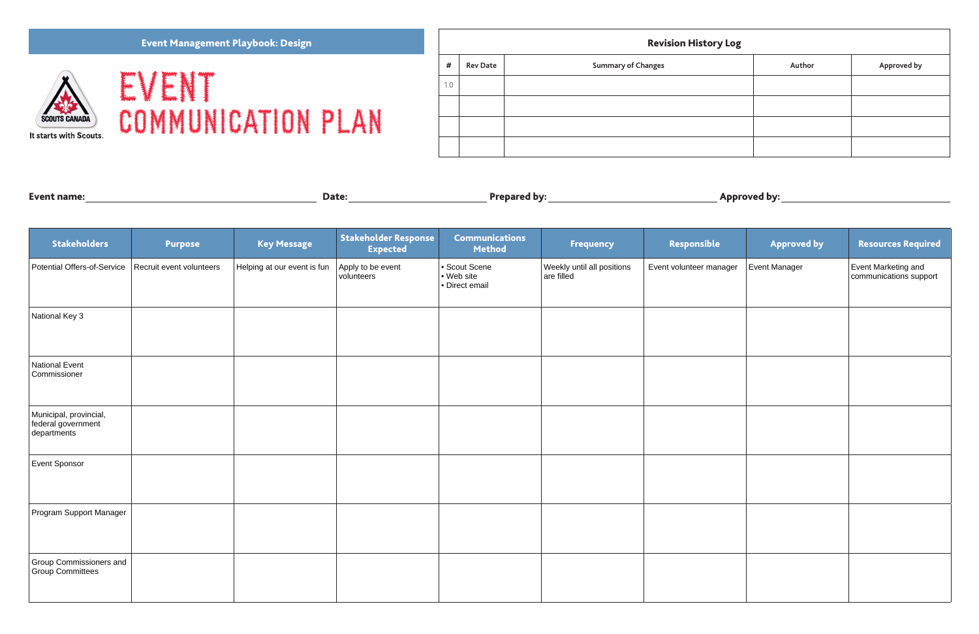EVENT COMMUNICATION PLAN *#* **Rev Date <b>Authors Changes Authors Summary of Changes** 1.0

| <b>Event name:</b> | Date: | <b>Prepared by:</b> | <b>Approved by:</b> |
|--------------------|-------|---------------------|---------------------|
|                    |       |                     |                     |

# Revision History Log

| $\bullet$ |        |             |  |  |  |  |  |
|-----------|--------|-------------|--|--|--|--|--|
|           | Author | Approved by |  |  |  |  |  |
|           |        |             |  |  |  |  |  |
|           |        |             |  |  |  |  |  |
|           |        |             |  |  |  |  |  |
|           |        |             |  |  |  |  |  |

## Event Management Playbook: Design



| <b>Stakeholders</b>                                         | <b>Purpose</b>           | <b>Key Message</b>          | <b>Stakeholder Response</b><br><b>Expected</b> | <b>Communications</b><br><b>Method</b>      | <b>Frequency</b>                         | Responsible             | <b>Approved by</b> | <b>Resources Required</b>                     |
|-------------------------------------------------------------|--------------------------|-----------------------------|------------------------------------------------|---------------------------------------------|------------------------------------------|-------------------------|--------------------|-----------------------------------------------|
| <b>Potential Offers-of-Service</b>                          | Recruit event volunteers | Helping at our event is fun | Apply to be event<br>volunteers                | Scout Scene<br>• Web site<br>• Direct email | Weekly until all positions<br>are filled | Event volunteer manager | Event Manager      | Event Marketing and<br>communications support |
| National Key 3                                              |                          |                             |                                                |                                             |                                          |                         |                    |                                               |
| National Event<br>Commissioner                              |                          |                             |                                                |                                             |                                          |                         |                    |                                               |
| Municipal, provincial,<br>federal government<br>departments |                          |                             |                                                |                                             |                                          |                         |                    |                                               |
| Event Sponsor                                               |                          |                             |                                                |                                             |                                          |                         |                    |                                               |
| Program Support Manager                                     |                          |                             |                                                |                                             |                                          |                         |                    |                                               |
| Group Commissioners and<br>Group Committees                 |                          |                             |                                                |                                             |                                          |                         |                    |                                               |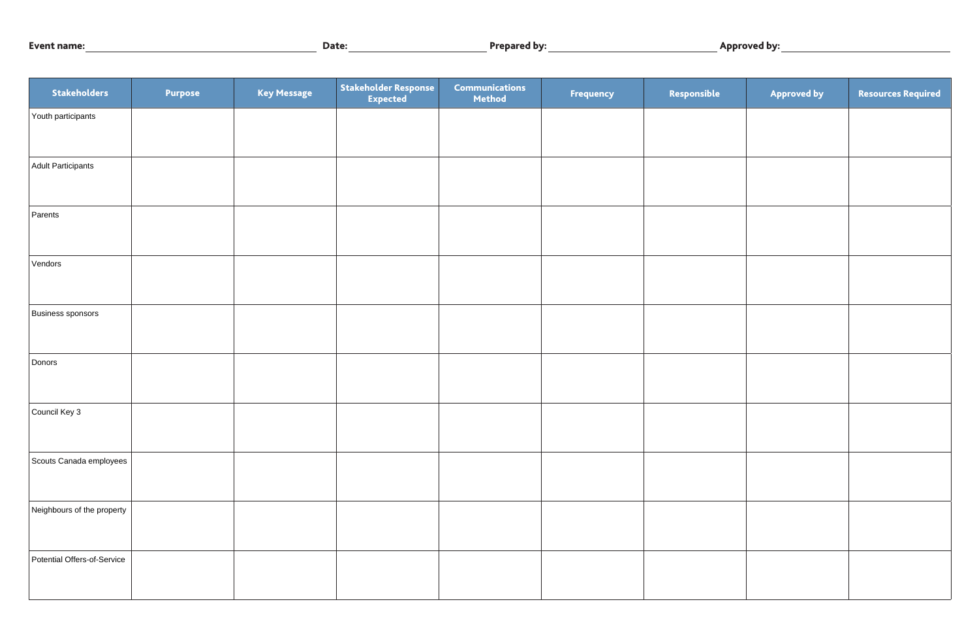| <b>Event name:</b> | <b>Jate</b> | <b>Prepared by:</b> | .<br><b>Approved by:</b> |
|--------------------|-------------|---------------------|--------------------------|
|--------------------|-------------|---------------------|--------------------------|

| Stakeholders                | <b>Purpose</b> | <b>Key Message</b> | Stakeholder Response | <b>Communications</b><br>Method | <b>Frequency</b> | Responsible | <b>Approved by</b> | <b>Resources Required</b> |
|-----------------------------|----------------|--------------------|----------------------|---------------------------------|------------------|-------------|--------------------|---------------------------|
| Youth participants          |                |                    |                      |                                 |                  |             |                    |                           |
|                             |                |                    |                      |                                 |                  |             |                    |                           |
| Adult Participants          |                |                    |                      |                                 |                  |             |                    |                           |
| Parents                     |                |                    |                      |                                 |                  |             |                    |                           |
|                             |                |                    |                      |                                 |                  |             |                    |                           |
| Vendors                     |                |                    |                      |                                 |                  |             |                    |                           |
|                             |                |                    |                      |                                 |                  |             |                    |                           |
| Business sponsors           |                |                    |                      |                                 |                  |             |                    |                           |
|                             |                |                    |                      |                                 |                  |             |                    |                           |
| Donors                      |                |                    |                      |                                 |                  |             |                    |                           |
|                             |                |                    |                      |                                 |                  |             |                    |                           |
| Council Key 3               |                |                    |                      |                                 |                  |             |                    |                           |
| Scouts Canada employees     |                |                    |                      |                                 |                  |             |                    |                           |
|                             |                |                    |                      |                                 |                  |             |                    |                           |
| Neighbours of the property  |                |                    |                      |                                 |                  |             |                    |                           |
|                             |                |                    |                      |                                 |                  |             |                    |                           |
| Potential Offers-of-Service |                |                    |                      |                                 |                  |             |                    |                           |
|                             |                |                    |                      |                                 |                  |             |                    |                           |

| <b>Approved by</b> | <b>Resources Required</b> |
|--------------------|---------------------------|
|                    |                           |
|                    |                           |
|                    |                           |
|                    |                           |
|                    |                           |
|                    |                           |
|                    |                           |
|                    |                           |
|                    |                           |
|                    |                           |
|                    |                           |
|                    |                           |
|                    |                           |
|                    |                           |
|                    |                           |
|                    |                           |
|                    |                           |
|                    |                           |